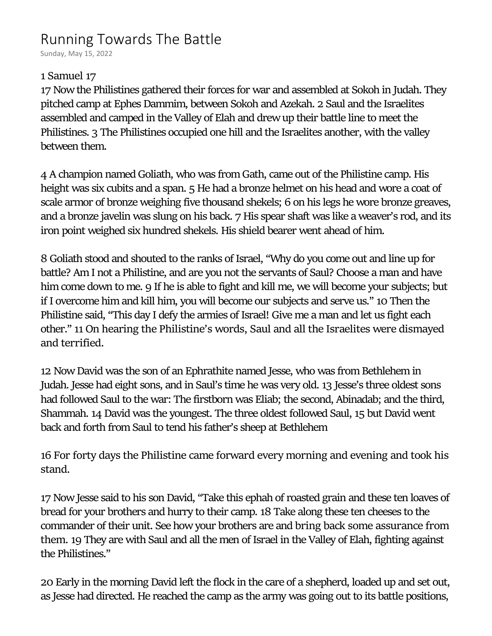# Running Towards The Battle

Sunday, May 15, 2022

#### **1 Samuel 17**

**17** Now the Philistines gathered their forces for war and assembled at Sokoh in Judah. They pitched camp at Ephes Dammim, between Sokoh and Azekah. **2** Saul and the Israelites assembled and camped in the Valley of Elah and drew up their battle line to meet the Philistines. **3** The Philistines occupied one hill and the Israelites another, with the valley between them.

**4** A champion named Goliath, who was from Gath, came out of the Philistine camp. His height was six cubits and a span. **5** He had a bronze helmet on his head and wore a coat of scale armor of bronze weighing five thousand shekels; **6** on his legs he wore bronze greaves, and a bronze javelin was slung on his back. **7** His spear shaft was like a weaver's rod, and its iron point weighed six hundred shekels. His shield bearer went ahead of him.

**8** Goliath stood and shouted to the ranks of Israel, "Why do you come out and line up for battle? Am I not a Philistine, and are you not the servants of Saul? Choose a man and have him come down to me. **9** If he is able to fight and kill me, we will become your subjects; but if I overcome him and kill him, you will become our subjects and serve us." **10** Then the Philistine said, "This day I defy the armies of Israel! Give me a man and let us fight each other." **11 On hearing the Philistine's words, Saul and all the Israelites were dismayed and terrified.**

**12** Now David was the son of an Ephrathite named Jesse, who was from Bethlehem in Judah. Jesse had eight sons, and in Saul's time he was very old. **13** Jesse's three oldest sons had followed Saul to the war: The firstborn was Eliab; the second, Abinadab; and the third, Shammah. **14** David was the youngest. The three oldest followed Saul, **15** but David went back and forth from Saul to tend his father's sheep at Bethlehem

**16 For forty days the Philistine came forward every morning and evening and took his stand.**

**17** Now Jesse said to his son David, "Take this ephah of roasted grain and these ten loaves of bread for your brothers and hurry to their camp. **18** Take along these ten cheeses to the commander of their unit. See how your brothers are and **bring back some assurance from them. 19** They are with Saul and all the men of Israel in the Valley of Elah, fighting against the Philistines."

**20** Early in the morning David left the flock in the care of a shepherd, loaded up and set out, as Jesse had directed. He reached the camp as the army was going out to its battle positions,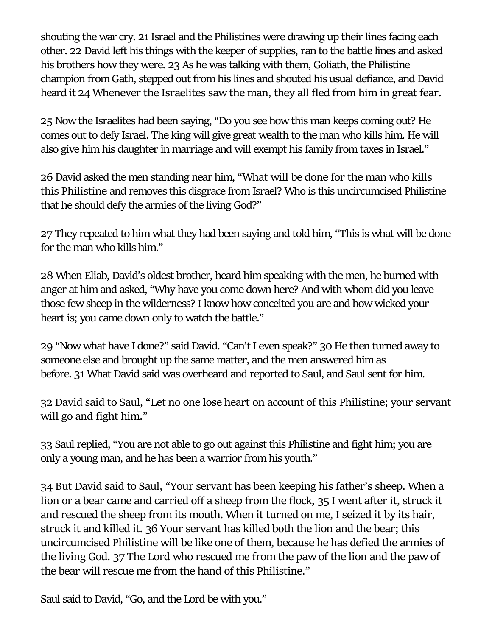shouting the war cry. **21** Israel and the Philistines were drawing up their lines facing each other. **22** David left his things with the keeper of supplies, ran to the battle lines and asked his brothers how they were. **23** As he was talking with them, Goliath, the Philistine champion from Gath, stepped out from his lines and shouted his usual defiance, and David heard it **24 Whenever the Israelites saw the man, they all fled from him in great fear.**

**25** Now the Israelites had been saying, "Do you see how this man keeps coming out? He comes out to defy Israel. The king will give great wealth to the man who kills him. He will also give him his daughter in marriage and will exempt his family from taxes in Israel."

**26** David asked the men standing near him, **"What will be done for the man who kills this Philistine** and removes this disgrace from Israel? Who is this uncircumcised Philistine that he should defy the armies of the living God?"

**27** They repeated to him what they had been saying and told him, "This is what will be done for the man who kills him."

**28** When Eliab, David's oldest brother, heard him speaking with the men, he burned with anger at him and asked, "Why have you come down here? And with whom did you leave those few sheep in the wilderness? I know how conceited you are and how wicked your heart is; you came down only to watch the battle."

**29** "Now what have I done?" said David. "Can't I even speak?" **30** He then turned away to someone else and brought up the same matter, and the men answered him as before. **31** What David said was overheard and reported to Saul, and Saul sent for him.

**32 David said to Saul, "Let no one lose heart on account of this Philistine; your servant will go and fight him."**

**33** Saul replied, "You are not able to go out against this Philistine and fight him; you are only a young man, and he has been a warrior from his youth."

**34 But David said to Saul, "Your servant has been keeping his father's sheep. When a lion or a bear came and carried off a sheep from the flock, 35 I went after it, struck it and rescued the sheep from its mouth. When it turned on me, I seized it by its hair, struck it and killed it. 36 Your servant has killed both the lion and the bear; this uncircumcised Philistine will be like one of them, because he has defied the armies of the living God. 37 The Lord who rescued me from the paw of the lion and the paw of the bear will rescue me from the hand of this Philistine."**

Saul said to David, "Go, and the Lord be with you."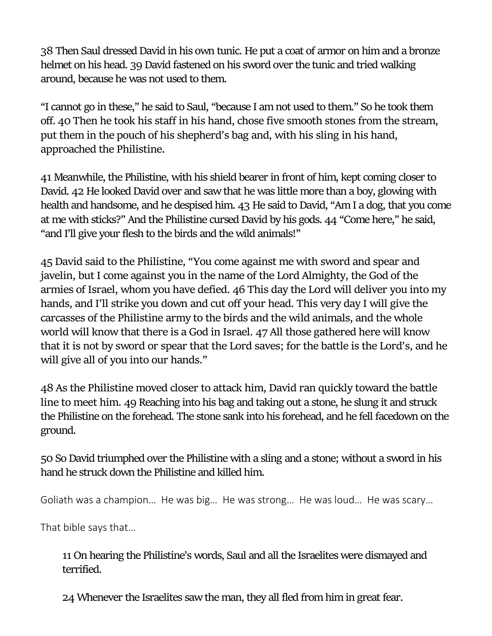**38** Then Saul dressed David in his own tunic. He put a coat of armor on him and a bronze helmet on his head. **39** David fastened on his sword over the tunic and tried walking around, because he was not used to them.

"I cannot go in these," he said to Saul, "because I am not used to them." So he took them off. **40 Then he took his staff in his hand, chose five smooth stones from the stream, put them in the pouch of his shepherd's bag and, with his sling in his hand, approached the Philistine.**

**41** Meanwhile, the Philistine, with his shield bearer in front of him, kept coming closer to David. **42** He looked David over and saw that he was little more than a boy, glowing with health and handsome, and he despised him. **43** He said to David, "Am I a dog, that you come at me with sticks?" And the Philistine cursed David by his gods. **44** "Come here," he said, "and I'll give your flesh to the birds and the wild animals!"

**45 David said to the Philistine, "You come against me with sword and spear and javelin, but I come against you in the name of the Lord Almighty, the God of the armies of Israel, whom you have defied. 46 This day the Lord will deliver you into my hands, and I'll strike you down and cut off your head. This very day I will give the carcasses of the Philistine army to the birds and the wild animals, and the whole world will know that there is a God in Israel. 47 All those gathered here will know that it is not by sword or spear that the Lord saves; for the battle is the Lord's, and he will give all of you into our hands."**

**48 As the Philistine moved closer to attack him, David ran quickly toward the battle line to meet him. 49** Reaching into his bag and taking out a stone, he slung it and struck the Philistine on the forehead. The stone sank into his forehead, and he fell facedown on the ground.

**50** So David triumphed over the Philistine with a sling and a stone; without a sword in his hand he struck down the Philistine and killed him.

Goliath was a champion… He was big… He was strong… He was loud… He was scary…

That bible says that…

**11** On hearing the Philistine's words, Saul and all the Israelites were dismayed and terrified.

**24** Whenever the Israelites saw the man, they all fled from him in great fear.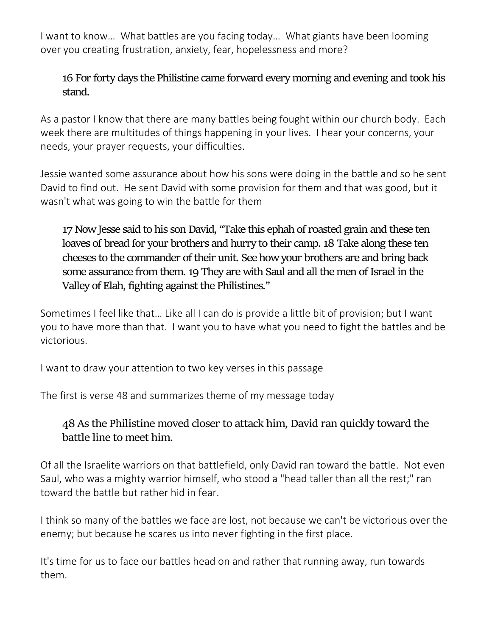I want to know… What battles are you facing today… What giants have been looming over you creating frustration, anxiety, fear, hopelessness and more?

## **16** For forty days the Philistine came forward every morning and evening and took his stand.

As a pastor I know that there are many battles being fought within our church body. Each week there are multitudes of things happening in your lives. I hear your concerns, your needs, your prayer requests, your difficulties.

Jessie wanted some assurance about how his sons were doing in the battle and so he sent David to find out. He sent David with some provision for them and that was good, but it wasn't what was going to win the battle for them

**17** Now Jesse said to his son David, "Take this ephah of roasted grain and these ten loaves of bread for your brothers and hurry to their camp. **18** Take along these ten cheeses to the commander of their unit. See how your brothers are and bring back some assurance from them. **19** They are with Saul and all the men of Israel in the Valley of Elah, fighting against the Philistines."

Sometimes I feel like that… Like all I can do is provide a little bit of provision; but I want you to have more than that. I want you to have what you need to fight the battles and be victorious.

I want to draw your attention to two key verses in this passage

The first is verse 48 and summarizes theme of my message today

## **48 As the Philistine moved closer to attack him, David ran quickly toward the battle line to meet him.**

Of all the Israelite warriors on that battlefield, only David ran toward the battle. Not even Saul, who was a mighty warrior himself, who stood a "head taller than all the rest;" ran toward the battle but rather hid in fear.

I think so many of the battles we face are lost, not because we can't be victorious over the enemy; but because he scares us into never fighting in the first place.

It's time for us to face our battles head on and rather that running away, run towards them.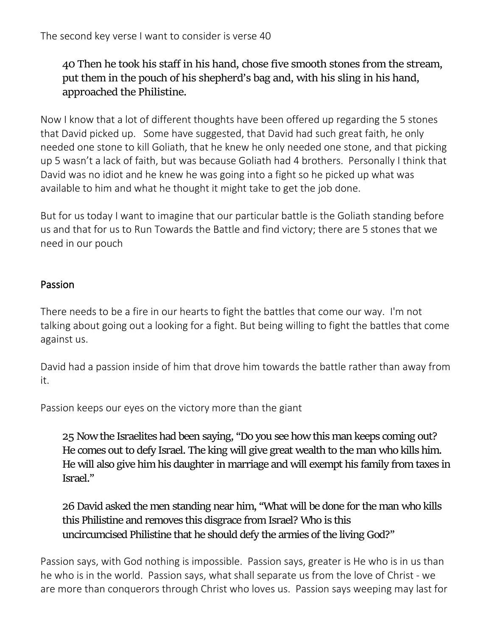**40 Then he took his staff in his hand, chose five smooth stones from the stream, put them in the pouch of his shepherd's bag and, with his sling in his hand, approached the Philistine.**

Now I know that a lot of different thoughts have been offered up regarding the 5 stones that David picked up. Some have suggested, that David had such great faith, he only needed one stone to kill Goliath, that he knew he only needed one stone, and that picking up 5 wasn't a lack of faith, but was because Goliath had 4 brothers. Personally I think that David was no idiot and he knew he was going into a fight so he picked up what was available to him and what he thought it might take to get the job done.

But for us today I want to imagine that our particular battle is the Goliath standing before us and that for us to Run Towards the Battle and find victory; there are 5 stones that we need in our pouch

## Passion

There needs to be a fire in our hearts to fight the battles that come our way. I'm not talking about going out a looking for a fight. But being willing to fight the battles that come against us.

David had a passion inside of him that drove him towards the battle rather than away from it.

Passion keeps our eyes on the victory more than the giant

**25** Now the Israelites had been saying, "Do you see how this man keeps coming out? He comes out to defy Israel. The king will give great wealth to the man who kills him. He will also give him his daughter in marriage and will exempt his family from taxes in Israel."

**26** David asked the men standing near him, "What will be done for the man who kills this Philistine and removes this disgrace from Israel? Who is this uncircumcised Philistine that he should defy the armies of the living God?"

Passion says, with God nothing is impossible. Passion says, greater is He who is in us than he who is in the world. Passion says, what shall separate us from the love of Christ - we are more than conquerors through Christ who loves us. Passion says weeping may last for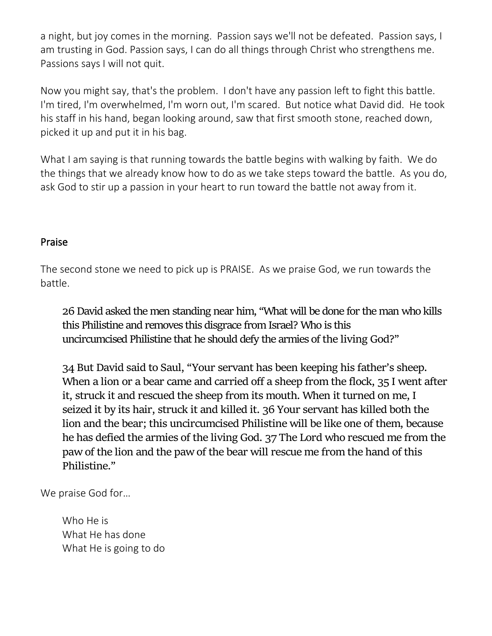a night, but joy comes in the morning. Passion says we'll not be defeated. Passion says, I am trusting in God. Passion says, I can do all things through Christ who strengthens me. Passions says I will not quit.

Now you might say, that's the problem. I don't have any passion left to fight this battle. I'm tired, I'm overwhelmed, I'm worn out, I'm scared. But notice what David did. He took his staff in his hand, began looking around, saw that first smooth stone, reached down, picked it up and put it in his bag.

What I am saying is that running towards the battle begins with walking by faith. We do the things that we already know how to do as we take steps toward the battle. As you do, ask God to stir up a passion in your heart to run toward the battle not away from it.

#### Praise

The second stone we need to pick up is PRAISE. As we praise God, we run towards the battle.

**26** David asked the men standing near him, "What will be done for the man who kills this Philistine and removes this disgrace from Israel? Who is this uncircumcised Philistine that he should defy the armies of **the living God**?"

**34 But David said to Saul, "Your servant has been keeping his father's sheep. When a lion or a bear came and carried off a sheep from the flock, 35 I went after it, struck it and rescued the sheep from its mouth. When it turned on me, I seized it by its hair, struck it and killed it. 36 Your servant has killed both the lion and the bear; this uncircumcised Philistine will be like one of them, because he has defied the armies of the living God. 37 The Lord who rescued me from the paw of the lion and the paw of the bear will rescue me from the hand of this Philistine."**

We praise God for…

Who He is What He has done What He is going to do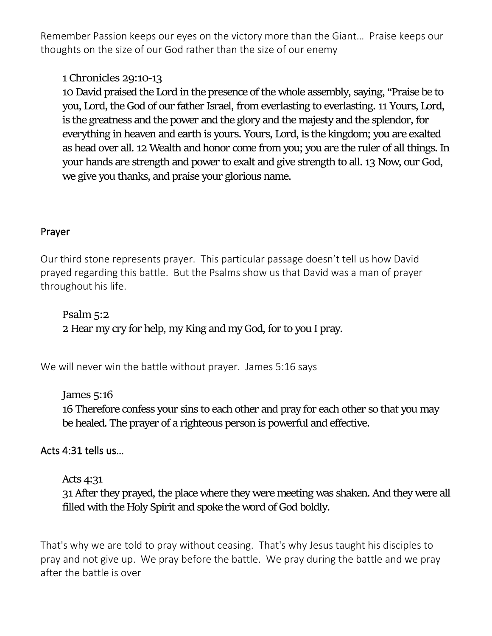Remember Passion keeps our eyes on the victory more than the Giant… Praise keeps our thoughts on the size of our God rather than the size of our enemy

## **1 Chronicles 29:10-13**

**10** David praised the Lord in the presence of the whole assembly, saying, "Praise be to you, Lord, the God of our father Israel, from everlasting to everlasting. **11** Yours, Lord, is the greatness and the power and the glory and the majesty and the splendor, for everything in heaven and earth is yours. Yours, Lord, is the kingdom; you are exalted as head over all. **12** Wealth and honor come from you; you are the ruler of all things. In your hands are strength and power to exalt and give strength to all. **13** Now, our God, we give you thanks, and praise your glorious name.

#### Prayer

Our third stone represents prayer. This particular passage doesn't tell us how David prayed regarding this battle. But the Psalms show us that David was a man of prayer throughout his life.

**Psalm 5:2 2** Hear my cry for help, my King and my God, for to you I pray.

We will never win the battle without prayer. James 5:16 says

**James 5:16 16** Therefore confess your sins to each other and pray for each other so that you may be healed. The prayer of a righteous person is powerful and effective.

## Acts 4:31 tells us…

## Acts 4:31

**31** After they prayed, the place where they were meeting was shaken. And they were all filled with the Holy Spirit and spoke the word of God boldly.

That's why we are told to pray without ceasing. That's why Jesus taught his disciples to pray and not give up. We pray before the battle. We pray during the battle and we pray after the battle is over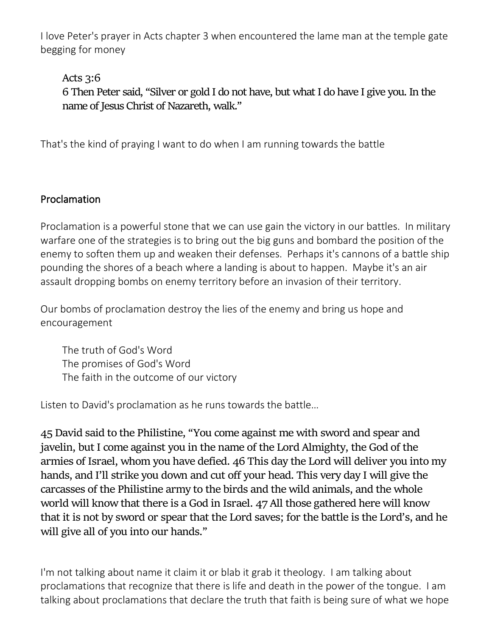I love Peter's prayer in Acts chapter 3 when encountered the lame man at the temple gate begging for money

**Acts 3:6**

**6** Then Peter said, "Silver or gold I do not have, but what I do have I give you. In the name of Jesus Christ of Nazareth, walk."

That's the kind of praying I want to do when I am running towards the battle

## Proclamation

Proclamation is a powerful stone that we can use gain the victory in our battles. In military warfare one of the strategies is to bring out the big guns and bombard the position of the enemy to soften them up and weaken their defenses. Perhaps it's cannons of a battle ship pounding the shores of a beach where a landing is about to happen. Maybe it's an air assault dropping bombs on enemy territory before an invasion of their territory.

Our bombs of proclamation destroy the lies of the enemy and bring us hope and encouragement

The truth of God's Word The promises of God's Word The faith in the outcome of our victory

Listen to David's proclamation as he runs towards the battle…

**45 David said to the Philistine, "You come against me with sword and spear and javelin, but I come against you in the name of the Lord Almighty, the God of the armies of Israel, whom you have defied. 46 This day the Lord will deliver you into my hands, and I'll strike you down and cut off your head. This very day I will give the carcasses of the Philistine army to the birds and the wild animals, and the whole world will know that there is a God in Israel. 47 All those gathered here will know that it is not by sword or spear that the Lord saves; for the battle is the Lord's, and he will give all of you into our hands."**

I'm not talking about name it claim it or blab it grab it theology. I am talking about proclamations that recognize that there is life and death in the power of the tongue. I am talking about proclamations that declare the truth that faith is being sure of what we hope